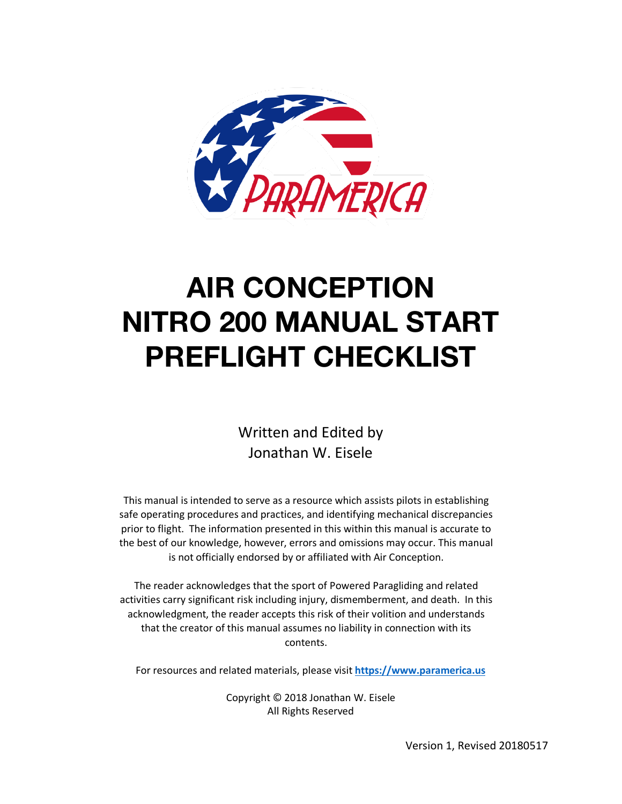

# **AIR CONCEPTION NITRO 200 MANUAL START PREFLIGHT CHECKLIST**

Written and Edited by Jonathan W. Eisele

This manual is intended to serve as a resource which assists pilots in establishing safe operating procedures and practices, and identifying mechanical discrepancies prior to flight. The information presented in this within this manual is accurate to the best of our knowledge, however, errors and omissions may occur. This manual is not officially endorsed by or affiliated with Air Conception.

The reader acknowledges that the sport of Powered Paragliding and related activities carry significant risk including injury, dismemberment, and death. In this acknowledgment, the reader accepts this risk of their volition and understands that the creator of this manual assumes no liability in connection with its contents.

For resources and related materials, please visit **https://www.paramerica.us**

Copyright © 2018 Jonathan W. Eisele All Rights Reserved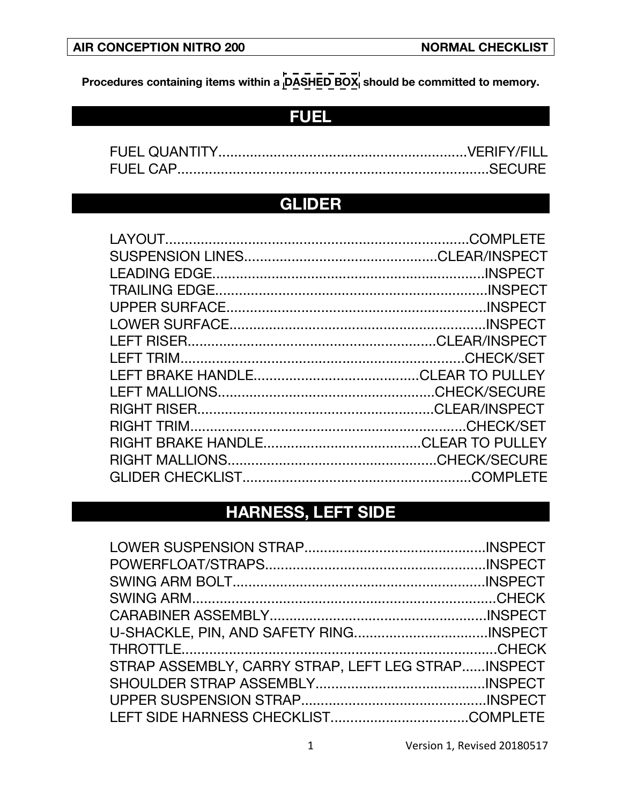**Procedures containing items within a**  $\overline{D\overline{A}}\overline{S\overline{H}}\overline{E}\overline{D}$  **<b>BOX**<sub>1</sub> should be committed to memory.

### **FUEL**

| <b>FUEL QUANTITY</b> |  |
|----------------------|--|
|                      |  |

#### **GLIDER**

| LAYOUT.              | COMPI FTF |
|----------------------|-----------|
|                      |           |
| <b>LEADING EDGE.</b> |           |
|                      |           |
|                      |           |
|                      |           |
|                      |           |
|                      |           |
|                      |           |
|                      |           |
|                      |           |
|                      |           |
|                      |           |
|                      |           |
|                      |           |
|                      |           |

# **HARNESS, LEFT SIDE**

| STRAP ASSEMBLY, CARRY STRAP, LEFT LEG STRAPINSPECT |  |
|----------------------------------------------------|--|
|                                                    |  |
|                                                    |  |
|                                                    |  |
|                                                    |  |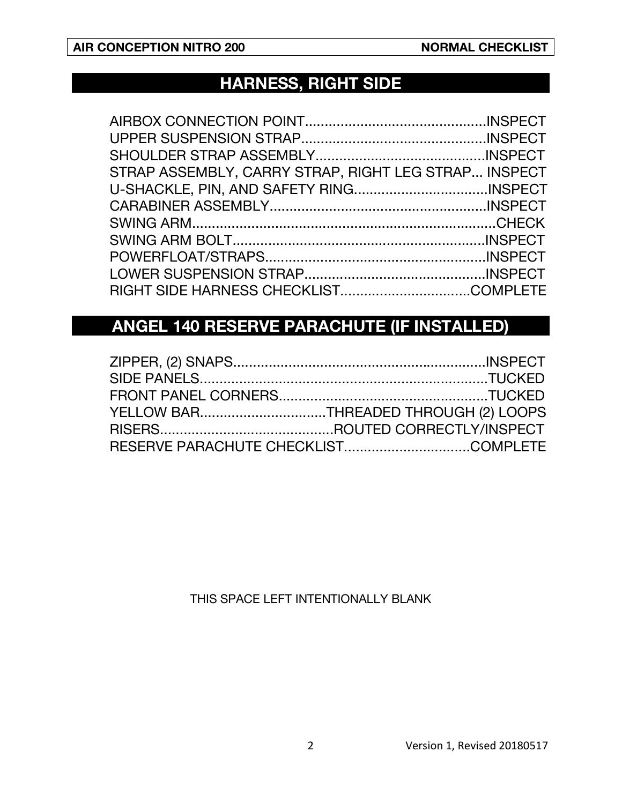## **HARNESS, RIGHT SIDE**

| STRAP ASSEMBLY, CARRY STRAP, RIGHT LEG STRAP INSPECT |  |
|------------------------------------------------------|--|
|                                                      |  |
|                                                      |  |
|                                                      |  |
|                                                      |  |
|                                                      |  |
|                                                      |  |
|                                                      |  |
|                                                      |  |

# **ANGEL 140 RESERVE PARACHUTE (IF INSTALLED)**

| YELLOW BARTHREADED THROUGH (2) LOOPS |  |
|--------------------------------------|--|
|                                      |  |
|                                      |  |

THIS SPACE LEFT INTENTIONALLY BLANK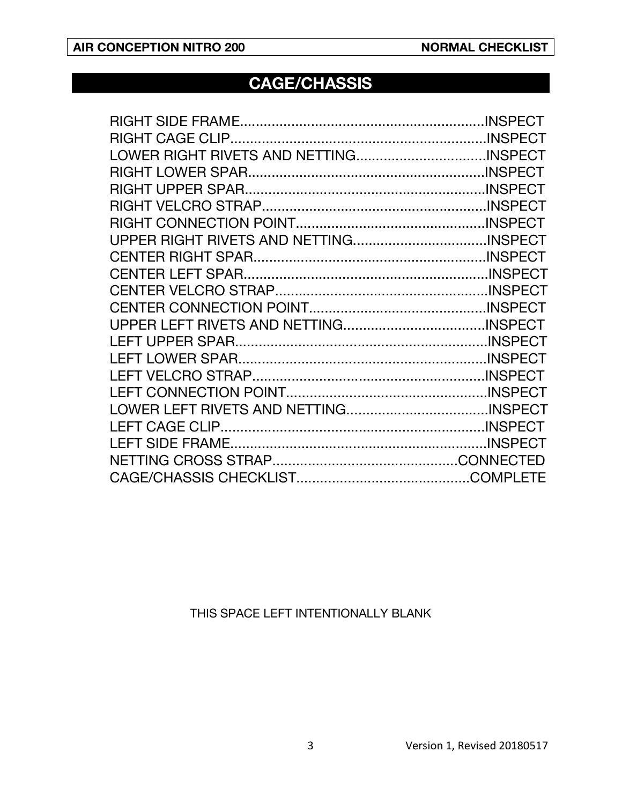#### **CAGE/CHASSIS**

#### THIS SPACE LEFT INTENTIONALLY BLANK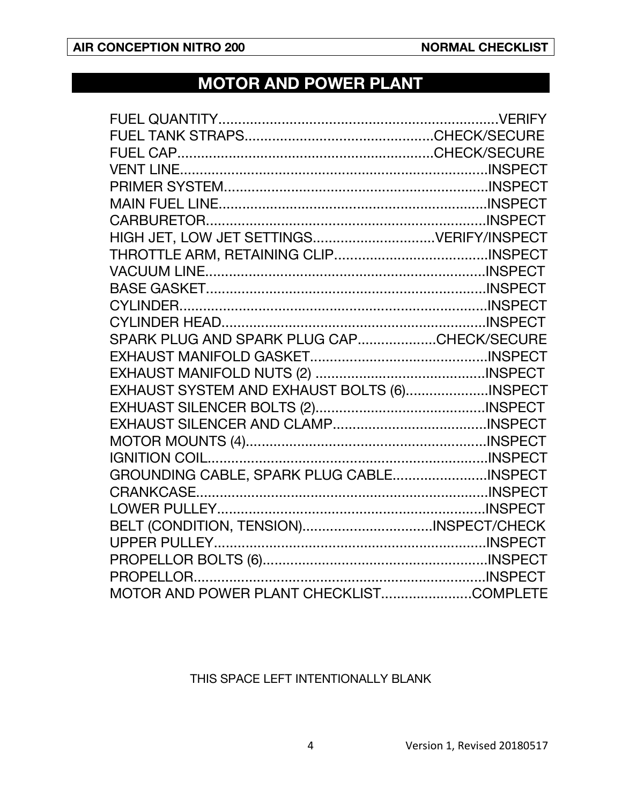# **MOTOR AND POWER PLANT**

| SPARK PLUG AND SPARK PLUG CAPCHECK/SECURE   |  |
|---------------------------------------------|--|
|                                             |  |
|                                             |  |
| EXHAUST SYSTEM AND EXHAUST BOLTS (6)INSPECT |  |
|                                             |  |
|                                             |  |
|                                             |  |
|                                             |  |
| GROUNDING CABLE, SPARK PLUG CABLEINSPECT    |  |
|                                             |  |
|                                             |  |
| BELT (CONDITION, TENSION)INSPECT/CHECK      |  |
|                                             |  |
|                                             |  |
|                                             |  |
| MOTOR AND POWER PLANT CHECKLISTCOMPLETE     |  |

#### THIS SPACE LEFT INTENTIONALLY BLANK